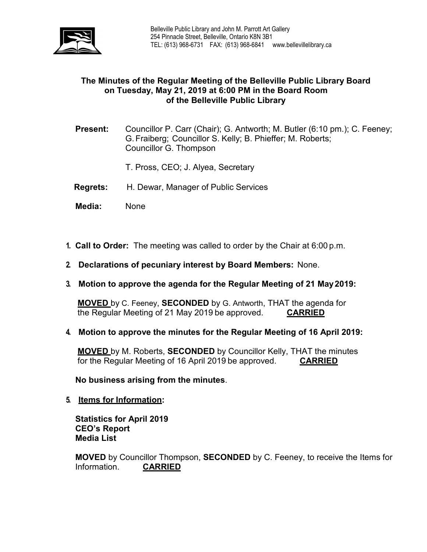

# **The Minutes of the Regular Meeting of the Belleville Public Library Board on Tuesday, May 21, 2019 at 6:00 PM in the Board Room of the Belleville Public Library**

- **Present:** Councillor P. Carr (Chair); G. Antworth; M. Butler (6:10 pm.); C. Feeney; G.Fraiberg; Councillor S. Kelly; B. Phieffer; M. Roberts; Councillor G. Thompson
	- T. Pross, CEO; J. Alyea, Secretary
- **Regrets:** H. Dewar, Manager of Public Services
- **Media:** None
- **1. Call to Order:** The meeting was called to order by the Chair at 6:00 p.m.
- **2. Declarations of pecuniary interest by Board Members:** None.
- **3. Motion to approve the agenda for the Regular Meeting of 21 May2019:**

**MOVED** by C. Feeney, **SECONDED** by G. Antworth, THAT the agenda for the Regular Meeting of 21 May 2019 be approved. **CARRIED**

**4. Motion to approve the minutes for the Regular Meeting of 16 April 2019:**

**MOVED** by M. Roberts, **SECONDED** by Councillor Kelly, THAT the minutes for the Regular Meeting of 16 April 2019 be approved. **CARRIED**

**No business arising from the minutes**.

**5. Items for Information:**

**Statistics for April 2019 CEO's Report Media List**

**MOVED** by Councillor Thompson, **SECONDED** by C. Feeney, to receive the Items for Information. **CARRIED**